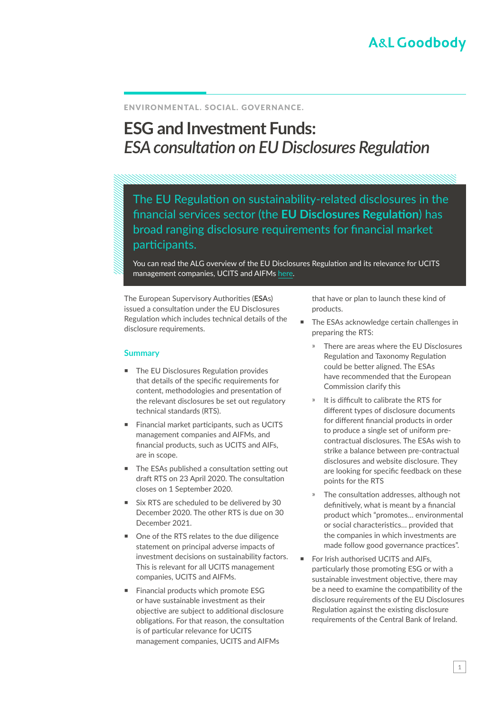## ENVIRONMENTAL. SOCIAL. GOVERNANCE.

# **ESG and Investment Funds:**  *ESA consultation on EU Disclosures Regulation*

The EU Regulation on sustainability-related disclosures in the financial services sector (the **EU Disclosures Regulation**) has broad ranging disclosure requirements for financial market participants.

You can read the ALG overview of the EU Disclosures Regulation and its relevance for UCITS management companies, UCITS and AIFMs [here](https://www.algoodbody.com/insights-publications/the-eu-disclosures-regulation).

The European Supervisory Authorities (**ESA**s) issued a consultation under the EU Disclosures Regulation which includes technical details of the disclosure requirements.

### **Summary**

- The EU Disclosures Regulation provides that details of the specific requirements for content, methodologies and presentation of the relevant disclosures be set out regulatory technical standards (RTS).
- Financial market participants, such as UCITS management companies and AIFMs, and financial products, such as UCITS and AIFs, are in scope.
- The ESAs published a consultation setting out draft RTS on 23 April 2020. The consultation closes on 1 September 2020.
- Six RTS are scheduled to be delivered by 30 December 2020. The other RTS is due on 30 December 2021.
- One of the RTS relates to the due diligence statement on principal adverse impacts of investment decisions on sustainability factors. This is relevant for all UCITS management companies, UCITS and AIFMs.
- Financial products which promote ESG or have sustainable investment as their objective are subject to additional disclosure obligations. For that reason, the consultation is of particular relevance for UCITS management companies, UCITS and AIFMs

that have or plan to launch these kind of products.

- The ESAs acknowledge certain challenges in preparing the RTS:
	- » There are areas where the EU Disclosures Regulation and Taxonomy Regulation could be better aligned. The ESAs have recommended that the European Commission clarify this
	- ҉ It is difficult to calibrate the RTS for different types of disclosure documents for different financial products in order to produce a single set of uniform precontractual disclosures. The ESAs wish to strike a balance between pre-contractual disclosures and website disclosure. They are looking for specific feedback on these points for the RTS
	- The consultation addresses, although not definitively, what is meant by a financial product which "promotes… environmental or social characteristics… provided that the companies in which investments are made follow good governance practices".
- For Irish authorised UCITS and AIFs, particularly those promoting ESG or with a sustainable investment objective, there may be a need to examine the compatibility of the disclosure requirements of the EU Disclosures Regulation against the existing disclosure requirements of the Central Bank of Ireland.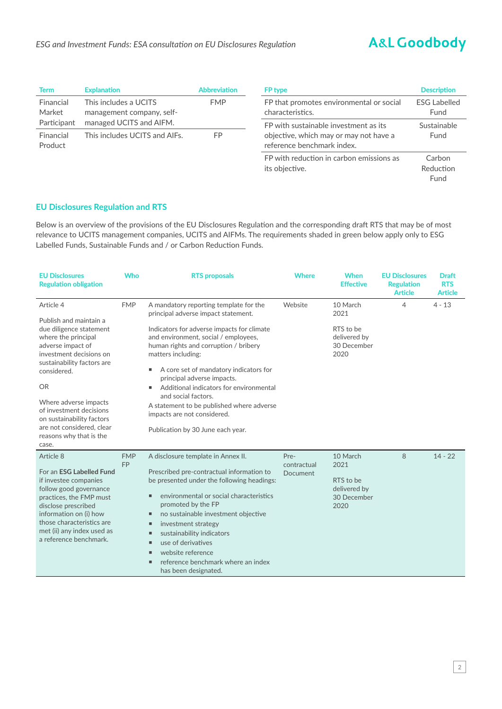Fund

| <b>Term</b>          | <b>Explanation</b>                                 | <b>Abbreviation</b> | <b>FP</b> type                                                       | <b>Description</b>          |
|----------------------|----------------------------------------------------|---------------------|----------------------------------------------------------------------|-----------------------------|
| Financial<br>Market  | This includes a UCITS<br>management company, self- | <b>FMP</b>          | FP that promotes environmental or social<br>characteristics.         | <b>ESG Labelled</b><br>Fund |
| Participant          | managed UCITS and AIFM.                            |                     | FP with sustainable investment as its                                | Sustainable                 |
| Financial<br>Product | This includes UCITS and AIFs.                      | FP.                 | objective, which may or may not have a<br>reference benchmark index. | Fund                        |
|                      |                                                    |                     | FP with reduction in carbon emissions as<br>its objective.           | Carbon<br>Reduction         |

# **EU Disclosures Regulation and RTS**

Below is an overview of the provisions of the EU Disclosures Regulation and the corresponding draft RTS that may be of most relevance to UCITS management companies, UCITS and AIFMs. The requirements shaded in green below apply only to ESG Labelled Funds, Sustainable Funds and / or Carbon Reduction Funds.

| <b>EU Disclosures</b><br><b>Regulation obligation</b>                                                                                                                                                                                                                                                                                             | <b>Who</b>              | <b>RTS proposals</b>                                                                                                                                                                                                                                                                                                                                                                                                                                                                                    | <b>Where</b>                    | <b>When</b><br><b>Effective</b>                                      | <b>EU Disclosures</b><br><b>Regulation</b><br><b>Article</b> | <b>Draft</b><br><b>RTS</b><br><b>Article</b> |
|---------------------------------------------------------------------------------------------------------------------------------------------------------------------------------------------------------------------------------------------------------------------------------------------------------------------------------------------------|-------------------------|---------------------------------------------------------------------------------------------------------------------------------------------------------------------------------------------------------------------------------------------------------------------------------------------------------------------------------------------------------------------------------------------------------------------------------------------------------------------------------------------------------|---------------------------------|----------------------------------------------------------------------|--------------------------------------------------------------|----------------------------------------------|
| Article 4<br>Publish and maintain a<br>due diligence statement<br>where the principal<br>adverse impact of<br>investment decisions on<br>sustainability factors are<br>considered.<br><b>OR</b><br>Where adverse impacts<br>of investment decisions<br>on sustainability factors<br>are not considered, clear<br>reasons why that is the<br>case. | <b>FMP</b>              | A mandatory reporting template for the<br>principal adverse impact statement.<br>Indicators for adverse impacts for climate<br>and environment, social / employees,<br>human rights and corruption / bribery<br>matters including:<br>A core set of mandatory indicators for<br>٠<br>principal adverse impacts.<br>Additional indicators for environmental<br>٠<br>and social factors.<br>A statement to be published where adverse<br>impacts are not considered.<br>Publication by 30 June each year. | Website                         | 10 March<br>2021<br>RTS to be<br>delivered by<br>30 December<br>2020 | $\overline{4}$                                               | $4 - 13$                                     |
| Article 8<br>For an ESG Labelled Fund<br>if investee companies<br>follow good governance<br>practices, the FMP must<br>disclose prescribed<br>information on (i) how<br>those characteristics are<br>met (ii) any index used as<br>a reference benchmark.                                                                                         | <b>FMP</b><br><b>FP</b> | A disclosure template in Annex II.<br>Prescribed pre-contractual information to<br>be presented under the following headings:<br>environmental or social characteristics<br>٠<br>promoted by the FP<br>no sustainable investment objective<br>ш<br>investment strategy<br>ш<br>sustainability indicators<br>ш<br>use of derivatives<br>п<br>website reference<br>п<br>reference benchmark where an index<br>ш<br>has been designated.                                                                   | Pre-<br>contractual<br>Document | 10 March<br>2021<br>RTS to be<br>delivered by<br>30 December<br>2020 | 8                                                            | $14 - 22$                                    |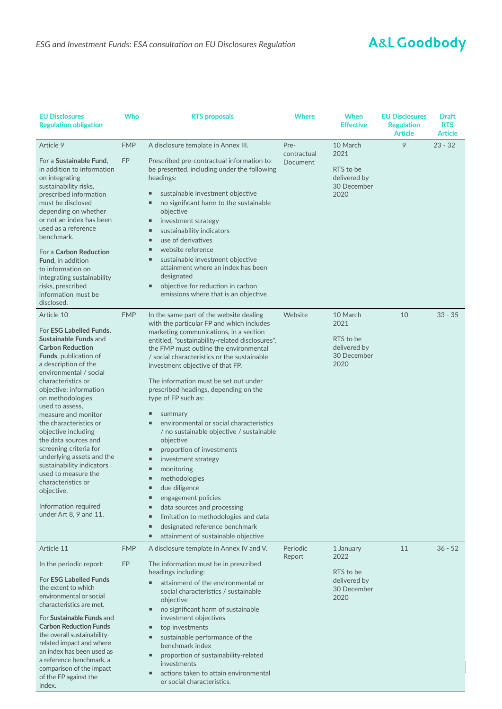| <b>EU Disclosures</b><br><b>Regulation obligation</b>                                                                                                                                                                                                                                                                                                                                                                                                                                                                                                                        | Who                     | <b>RTS proposals</b>                                                                                                                                                                                                                                                                                                                                                                                                                                                                                                                                                                                                                                                                                                                                                                                                                                                     | <b>Where</b>                           | <b>When</b><br>Effective                                              | <b>EU Disclosures</b><br><b>Regulation</b><br><b>Article</b> | <b>Draft</b><br><b>RTS</b><br><b>Article</b> |
|------------------------------------------------------------------------------------------------------------------------------------------------------------------------------------------------------------------------------------------------------------------------------------------------------------------------------------------------------------------------------------------------------------------------------------------------------------------------------------------------------------------------------------------------------------------------------|-------------------------|--------------------------------------------------------------------------------------------------------------------------------------------------------------------------------------------------------------------------------------------------------------------------------------------------------------------------------------------------------------------------------------------------------------------------------------------------------------------------------------------------------------------------------------------------------------------------------------------------------------------------------------------------------------------------------------------------------------------------------------------------------------------------------------------------------------------------------------------------------------------------|----------------------------------------|-----------------------------------------------------------------------|--------------------------------------------------------------|----------------------------------------------|
| Article 9<br>For a Sustainable Fund,<br>in addition to information<br>on integrating<br>sustainability risks,<br>prescribed information<br>must be disclosed<br>depending on whether<br>or not an index has been<br>used as a reference<br>benchmark.<br>For a Carbon Reduction<br>Fund, in addition<br>to information on<br>integrating sustainability<br>risks, prescribed<br>information must be<br>disclosed.                                                                                                                                                            | <b>FMP</b><br><b>FP</b> | A disclosure template in Annex III.<br>Prescribed pre-contractual information to<br>be presented, including under the following<br>headings:<br>sustainable investment objective<br>no significant harm to the sustainable<br>٠<br>objective<br>investment strategy<br>ш<br>sustainability indicators<br>ш<br>use of derivatives<br>ш<br>website reference<br>ш<br>sustainable investment objective<br>п<br>attainment where an index has been<br>designated<br>objective for reduction in carbon<br>٠<br>emissions where that is an objective                                                                                                                                                                                                                                                                                                                           | Pre-<br>contractual<br><b>Document</b> | 10 March<br>2021<br>RTS to be<br>delivered by<br>30 December<br>2020  | 9                                                            | $23 - 32$                                    |
| Article 10<br>For <b>ESG Labelled Funds</b> ,<br>Sustainable Funds and<br><b>Carbon Reduction</b><br><b>Funds</b> , publication of<br>a description of the<br>environmental / social<br>characteristics or<br>objective; information<br>on methodologies<br>used to assess,<br>measure and monitor<br>the characteristics or<br>objective including<br>the data sources and<br>screening criteria for<br>underlying assets and the<br>sustainability indicators<br>used to measure the<br>characteristics or<br>objective.<br>Information required<br>under Art 8, 9 and 11. | <b>FMP</b>              | In the same part of the website dealing<br>with the particular FP and which includes<br>marketing communications, in a section<br>entitled, "sustainability-related disclosures",<br>the FMP must outline the environmental<br>/ social characteristics or the sustainable<br>investment objective of that FP.<br>The information must be set out under<br>prescribed headings, depending on the<br>type of FP such as:<br>summary<br>ш<br>environmental or social characteristics<br>٠<br>/ no sustainable objective / sustainable<br>objective<br>proportion of investments<br>п<br>investment strategy<br>ш<br>monitoring<br>п<br>methodologies<br>Ξ<br>due diligence<br>engagement policies<br>٠<br>data sources and processing<br>Е<br>limitation to methodologies and data<br>п<br>designated reference benchmark<br>п<br>attainment of sustainable objective<br>٠ | Website                                | 10 March<br>2021<br>RTS to be<br>delivered by<br>30 December<br>2020  | 10                                                           | $33 - 35$                                    |
| Article 11<br>In the periodic report:<br>For <b>ESG Labelled Funds</b><br>the extent to which<br>environmental or social<br>characteristics are met.<br>For Sustainable Funds and<br><b>Carbon Reduction Funds</b><br>the overall sustainability-<br>related impact and where<br>an index has been used as<br>a reference benchmark, a<br>comparison of the impact<br>of the FP against the<br>index.                                                                                                                                                                        | <b>FMP</b><br><b>FP</b> | A disclosure template in Annex IV and V.<br>The information must be in prescribed<br>headings including:<br>attainment of the environmental or<br>٠<br>social characteristics / sustainable<br>objective<br>no significant harm of sustainable<br>٠<br>investment objectives<br>top investments<br>٠<br>sustainable performance of the<br>ш<br>benchmark index<br>proportion of sustainability-related<br>٠<br>investments<br>actions taken to attain environmental<br>٠<br>or social characteristics.                                                                                                                                                                                                                                                                                                                                                                   | Periodic<br>Report                     | 1 January<br>2022<br>RTS to be<br>delivered by<br>30 December<br>2020 | 11                                                           | $36 - 52$                                    |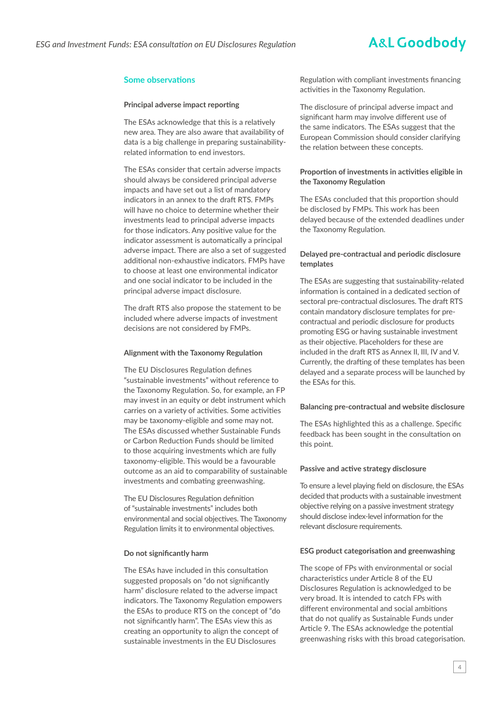## **Some observations**

#### **Principal adverse impact reporting**

The ESAs acknowledge that this is a relatively new area. They are also aware that availability of data is a big challenge in preparing sustainabilityrelated information to end investors.

The ESAs consider that certain adverse impacts should always be considered principal adverse impacts and have set out a list of mandatory indicators in an annex to the draft RTS. FMPs will have no choice to determine whether their investments lead to principal adverse impacts for those indicators. Any positive value for the indicator assessment is automatically a principal adverse impact. There are also a set of suggested additional non-exhaustive indicators. FMPs have to choose at least one environmental indicator and one social indicator to be included in the principal adverse impact disclosure.

The draft RTS also propose the statement to be included where adverse impacts of investment decisions are not considered by FMPs.

#### **Alignment with the Taxonomy Regulation**

The EU Disclosures Regulation defines "sustainable investments" without reference to the Taxonomy Regulation. So, for example, an FP may invest in an equity or debt instrument which carries on a variety of activities. Some activities may be taxonomy-eligible and some may not. The ESAs discussed whether Sustainable Funds or Carbon Reduction Funds should be limited to those acquiring investments which are fully taxonomy-eligible. This would be a favourable outcome as an aid to comparability of sustainable investments and combating greenwashing.

The EU Disclosures Regulation definition of "sustainable investments" includes both environmental and social objectives. The Taxonomy Regulation limits it to environmental objectives.

#### **Do not significantly harm**

The ESAs have included in this consultation suggested proposals on "do not significantly harm" disclosure related to the adverse impact indicators. The Taxonomy Regulation empowers the ESAs to produce RTS on the concept of "do not significantly harm". The ESAs view this as creating an opportunity to align the concept of sustainable investments in the EU Disclosures

Regulation with compliant investments financing activities in the Taxonomy Regulation.

The disclosure of principal adverse impact and significant harm may involve different use of the same indicators. The ESAs suggest that the European Commission should consider clarifying the relation between these concepts.

#### **Proportion of investments in activities eligible in the Taxonomy Regulation**

The ESAs concluded that this proportion should be disclosed by FMPs. This work has been delayed because of the extended deadlines under the Taxonomy Regulation.

#### **Delayed pre-contractual and periodic disclosure templates**

The ESAs are suggesting that sustainability-related information is contained in a dedicated section of sectoral pre-contractual disclosures. The draft RTS contain mandatory disclosure templates for precontractual and periodic disclosure for products promoting ESG or having sustainable investment as their objective. Placeholders for these are included in the draft RTS as Annex II, III, IV and V. Currently, the drafting of these templates has been delayed and a separate process will be launched by the ESAs for this.

#### **Balancing pre-contractual and website disclosure**

The ESAs highlighted this as a challenge. Specific feedback has been sought in the consultation on this point.

#### **Passive and active strategy disclosure**

To ensure a level playing field on disclosure, the ESAs decided that products with a sustainable investment objective relying on a passive investment strategy should disclose index-level information for the relevant disclosure requirements.

#### **ESG product categorisation and greenwashing**

The scope of FPs with environmental or social characteristics under Article 8 of the EU Disclosures Regulation is acknowledged to be very broad. It is intended to catch FPs with different environmental and social ambitions that do not qualify as Sustainable Funds under Article 9. The ESAs acknowledge the potential greenwashing risks with this broad categorisation.